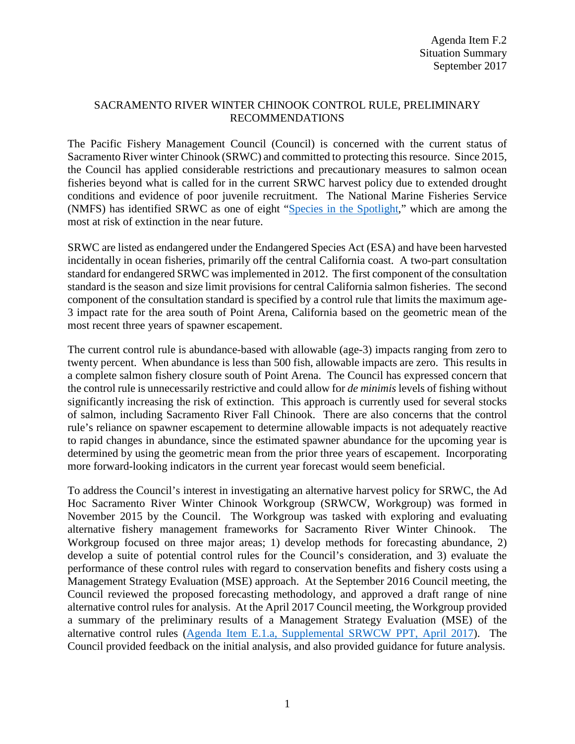## SACRAMENTO RIVER WINTER CHINOOK CONTROL RULE, PRELIMINARY RECOMMENDATIONS

The Pacific Fishery Management Council (Council) is concerned with the current status of Sacramento River winter Chinook (SRWC) and committed to protecting this resource. Since 2015, the Council has applied considerable restrictions and precautionary measures to salmon ocean fisheries beyond what is called for in the current SRWC harvest policy due to extended drought conditions and evidence of poor juvenile recruitment. The National Marine Fisheries Service (NMFS) has identified SRWC as one of eight ["Species in the Spotlight,](http://www.nmfs.noaa.gov/stories/2015/05/05_14_15species_in_the_spotlight.html)" which are among the most at risk of extinction in the near future.

SRWC are listed as endangered under the Endangered Species Act (ESA) and have been harvested incidentally in ocean fisheries, primarily off the central California coast. A two-part consultation standard for endangered SRWC was implemented in 2012. The first component of the consultation standard is the season and size limit provisions for central California salmon fisheries. The second component of the consultation standard is specified by a control rule that limits the maximum age-3 impact rate for the area south of Point Arena, California based on the geometric mean of the most recent three years of spawner escapement.

The current control rule is abundance-based with allowable (age-3) impacts ranging from zero to twenty percent. When abundance is less than 500 fish, allowable impacts are zero. This results in a complete salmon fishery closure south of Point Arena. The Council has expressed concern that the control rule is unnecessarily restrictive and could allow for *de minimis* levels of fishing without significantly increasing the risk of extinction. This approach is currently used for several stocks of salmon, including Sacramento River Fall Chinook. There are also concerns that the control rule's reliance on spawner escapement to determine allowable impacts is not adequately reactive to rapid changes in abundance, since the estimated spawner abundance for the upcoming year is determined by using the geometric mean from the prior three years of escapement. Incorporating more forward-looking indicators in the current year forecast would seem beneficial.

To address the Council's interest in investigating an alternative harvest policy for SRWC, the Ad Hoc Sacramento River Winter Chinook Workgroup (SRWCW, Workgroup) was formed in November 2015 by the Council. The Workgroup was tasked with exploring and evaluating alternative fishery management frameworks for Sacramento River Winter Chinook. The Workgroup focused on three major areas; 1) develop methods for forecasting abundance, 2) develop a suite of potential control rules for the Council's consideration, and 3) evaluate the performance of these control rules with regard to conservation benefits and fishery costs using a Management Strategy Evaluation (MSE) approach. At the September 2016 Council meeting, the Council reviewed the proposed forecasting methodology, and approved a draft range of nine alternative control rules for analysis. At the April 2017 Council meeting, the Workgroup provided a summary of the preliminary results of a Management Strategy Evaluation (MSE) of the alternative control rules [\(Agenda Item E.1.a, Supplemental SRWCW PPT, April 2017\)](http://www.pcouncil.org/wp-content/uploads/2017/04/E1a_Sup_SRWCW_Update_PPT_OFarrell_Apr2017BB.pdf). The Council provided feedback on the initial analysis, and also provided guidance for future analysis.